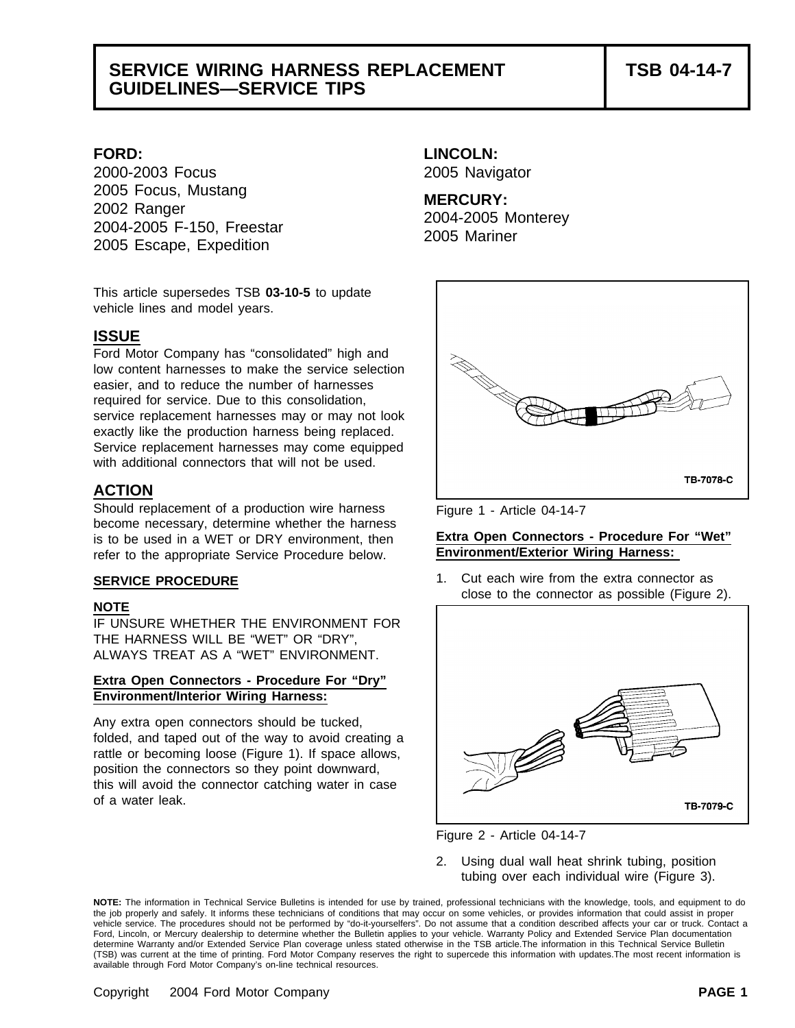## **SERVICE WIRING HARNESS REPLACEMENT TSB 04-14-7 GUIDELINES—SERVICE TIPS**

2000-2003 Focus 2005 Navigator 2005 Focus, Mustang **MERCURY:** 2002 Ranger 2004-2005 Monterey 2004-2005 F-150, Freestar 2005 Mariner 2005 Escape, Expedition

This article supersedes TSB **03-10-5** to update vehicle lines and model years.

### **ISSUE**

Ford Motor Company has "consolidated" high and low content harnesses to make the service selection easier, and to reduce the number of harnesses required for service. Due to this consolidation, service replacement harnesses may or may not look exactly like the production harness being replaced. Service replacement harnesses may come equipped with additional connectors that will not be used.

### **ACTION**

Should replacement of a production wire harness Figure 1 - Article 04-14-7 become necessary, determine whether the harness is to be used in a WET or DRY environment, then **Extra Open Connectors - Procedure For "Wet"**<br> **Environment/Exterior Wiring Harness:** refer to the appropriate Service Procedure below.

### **NOTE**

IF UNSURE WHETHER THE ENVIRONMENT FOR THE HARNESS WILL BE "WET" OR "DRY", ALWAYS TREAT AS A "WET" ENVIRONMENT.

### **Extra Open Connectors - Procedure For "Dry" Environment/Interior Wiring Harness:**

Any extra open connectors should be tucked, folded, and taped out of the way to avoid creating a rattle or becoming loose (Figure 1). If space allows, position the connectors so they point downward, this will avoid the connector catching water in case of a water leak.

# **FORD: LINCOLN:**



**SERVICE PROCEDURE 1.** Cut each wire from the extra connector as close to the connector as possible (Figure 2).





2. Using dual wall heat shrink tubing, position tubing over each individual wire (Figure 3).

**NOTE:** The information in Technical Service Bulletins is intended for use by trained, professional technicians with the knowledge, tools, and equipment to do the job properly and safely. It informs these technicians of conditions that may occur on some vehicles, or provides information that could assist in proper vehicle service. The procedures should not be performed by "do-it-yourselfers". Do not assume that a condition described affects your car or truck. Contact a Ford, Lincoln, or Mercury dealership to determine whether the Bulletin applies to your vehicle. Warranty Policy and Extended Service Plan documentation determine Warranty and/or Extended Service Plan coverage unless stated otherwise in the TSB article.The information in this Technical Service Bulletin (TSB) was current at the time of printing. Ford Motor Company reserves the right to supercede this information with updates.The most recent information is available through Ford Motor Company's on-line technical resources.